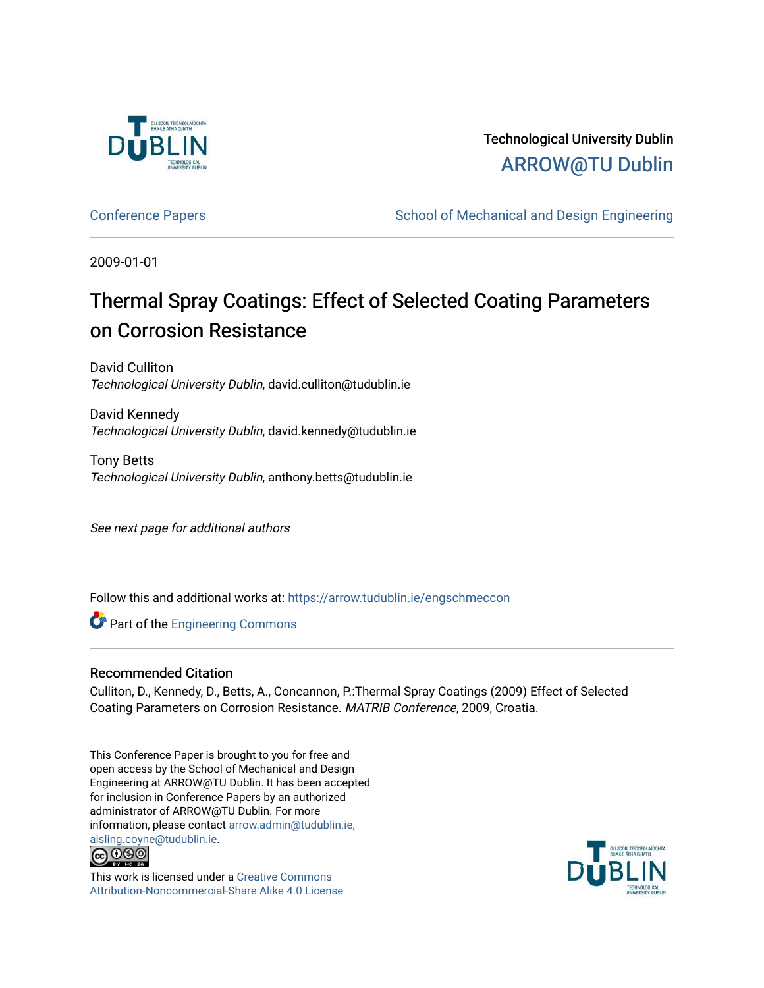

Technological University Dublin [ARROW@TU Dublin](https://arrow.tudublin.ie/) 

[Conference Papers](https://arrow.tudublin.ie/engschmeccon) **School of Mechanical and Design Engineering** School of Mechanical and Design Engineering

2009-01-01

# Thermal Spray Coatings: Effect of Selected Coating Parameters on Corrosion Resistance

David Culliton Technological University Dublin, david.culliton@tudublin.ie

David Kennedy Technological University Dublin, david.kennedy@tudublin.ie

Tony Betts Technological University Dublin, anthony.betts@tudublin.ie

See next page for additional authors

Follow this and additional works at: [https://arrow.tudublin.ie/engschmeccon](https://arrow.tudublin.ie/engschmeccon?utm_source=arrow.tudublin.ie%2Fengschmeccon%2F39&utm_medium=PDF&utm_campaign=PDFCoverPages) 

Part of the [Engineering Commons](http://network.bepress.com/hgg/discipline/217?utm_source=arrow.tudublin.ie%2Fengschmeccon%2F39&utm_medium=PDF&utm_campaign=PDFCoverPages)

#### Recommended Citation

Culliton, D., Kennedy, D., Betts, A., Concannon, P.:Thermal Spray Coatings (2009) Effect of Selected Coating Parameters on Corrosion Resistance. MATRIB Conference, 2009, Croatia.

This Conference Paper is brought to you for free and open access by the School of Mechanical and Design Engineering at ARROW@TU Dublin. It has been accepted for inclusion in Conference Papers by an authorized administrator of ARROW@TU Dublin. For more information, please contact [arrow.admin@tudublin.ie,](mailto:arrow.admin@tudublin.ie,%20aisling.coyne@tudublin.ie)  [aisling.coyne@tudublin.ie.](mailto:arrow.admin@tudublin.ie,%20aisling.coyne@tudublin.ie)<br>© 090



This work is licensed under a [Creative Commons](http://creativecommons.org/licenses/by-nc-sa/4.0/) [Attribution-Noncommercial-Share Alike 4.0 License](http://creativecommons.org/licenses/by-nc-sa/4.0/)

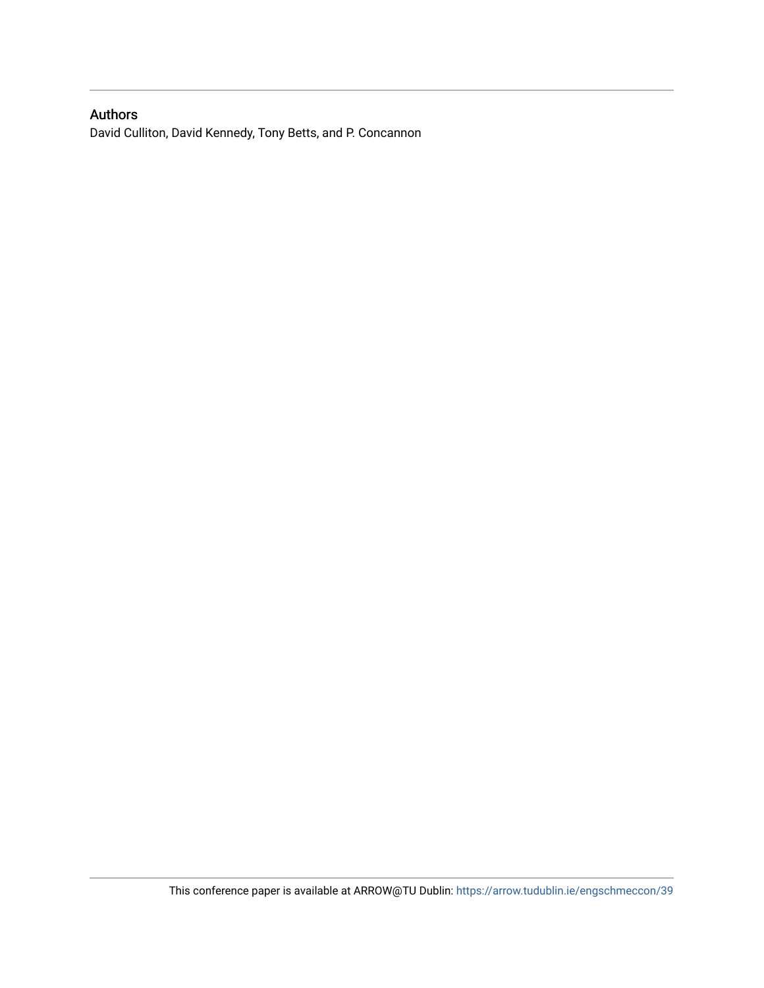# Authors

David Culliton, David Kennedy, Tony Betts, and P. Concannon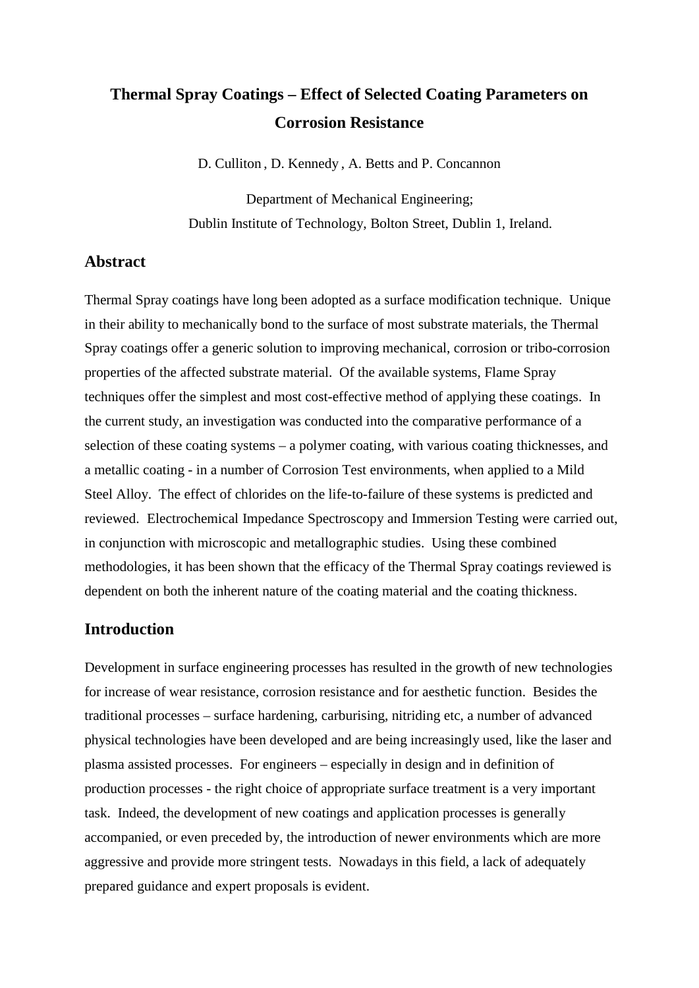# **Thermal Spray Coatings – Effect of Selected Coating Parameters on Corrosion Resistance**

D. Culliton , D. Kennedy , A. Betts and P. Concannon

Department of Mechanical Engineering; Dublin Institute of Technology, Bolton Street, Dublin 1, Ireland.

#### **Abstract**

Thermal Spray coatings have long been adopted as a surface modification technique. Unique in their ability to mechanically bond to the surface of most substrate materials, the Thermal Spray coatings offer a generic solution to improving mechanical, corrosion or tribo-corrosion properties of the affected substrate material. Of the available systems, Flame Spray techniques offer the simplest and most cost-effective method of applying these coatings. In the current study, an investigation was conducted into the comparative performance of a selection of these coating systems – a polymer coating, with various coating thicknesses, and a metallic coating - in a number of Corrosion Test environments, when applied to a Mild Steel Alloy. The effect of chlorides on the life-to-failure of these systems is predicted and reviewed. Electrochemical Impedance Spectroscopy and Immersion Testing were carried out, in conjunction with microscopic and metallographic studies. Using these combined methodologies, it has been shown that the efficacy of the Thermal Spray coatings reviewed is dependent on both the inherent nature of the coating material and the coating thickness.

#### **Introduction**

Development in surface engineering processes has resulted in the growth of new technologies for increase of wear resistance, corrosion resistance and for aesthetic function. Besides the traditional processes – surface hardening, carburising, nitriding etc, a number of advanced physical technologies have been developed and are being increasingly used, like the laser and plasma assisted processes. For engineers – especially in design and in definition of production processes - the right choice of appropriate surface treatment is a very important task. Indeed, the development of new coatings and application processes is generally accompanied, or even preceded by, the introduction of newer environments which are more aggressive and provide more stringent tests. Nowadays in this field, a lack of adequately prepared guidance and expert proposals is evident.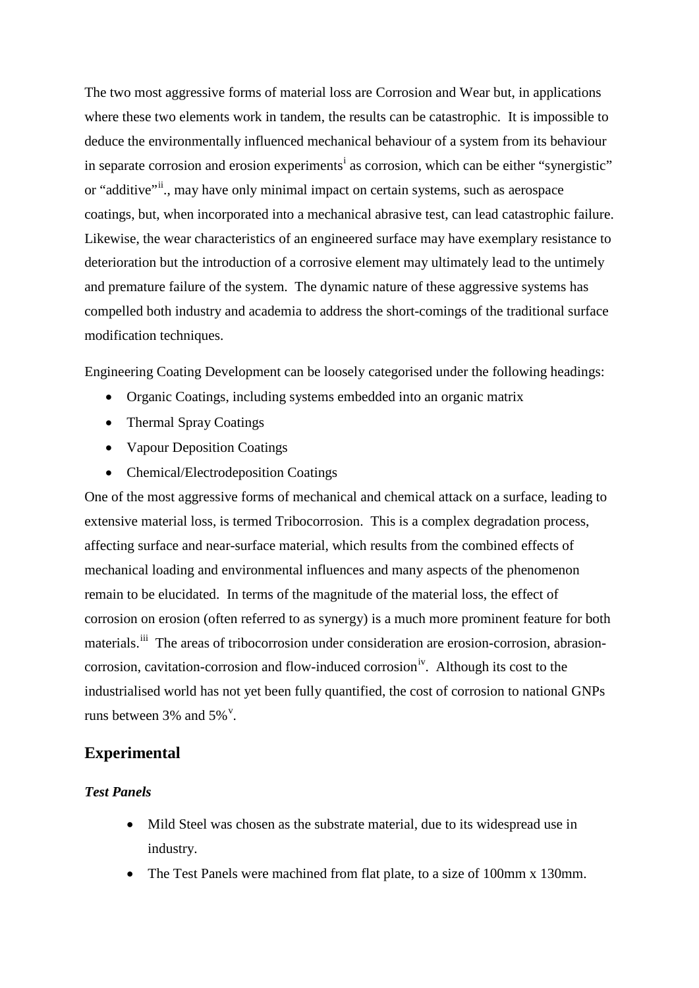The two most aggressive forms of material loss are Corrosion and Wear but, in applications where these two elements work in tandem, the results can be catastrophic. It is impossible to deduce the environmentally influenced mechanical behaviour of a system from its behaviour [i](#page-3-0)n separate corrosion and erosion experiments<sup>i</sup> as corrosion, which can be either "synergistic" or "additive"<sup>[ii](#page-3-1)</sup>., may have only minimal impact on certain systems, such as aerospace coatings, but, when incorporated into a mechanical abrasive test, can lead catastrophic failure. Likewise, the wear characteristics of an engineered surface may have exemplary resistance to deterioration but the introduction of a corrosive element may ultimately lead to the untimely and premature failure of the system. The dynamic nature of these aggressive systems has compelled both industry and academia to address the short-comings of the traditional surface modification techniques.

<span id="page-3-3"></span><span id="page-3-2"></span><span id="page-3-1"></span><span id="page-3-0"></span>Engineering Coating Development can be loosely categorised under the following headings:

- Organic Coatings, including systems embedded into an organic matrix
- Thermal Spray Coatings
- Vapour Deposition Coatings
- Chemical/Electrodeposition Coatings

<span id="page-3-8"></span><span id="page-3-7"></span><span id="page-3-6"></span><span id="page-3-5"></span><span id="page-3-4"></span>One of the most aggressive forms of mechanical and chemical attack on a surface, leading to extensive material loss, is termed Tribocorrosion. This is a complex degradation process, affecting surface and near-surface material, which results from the combined effects of mechanical loading and environmental influences and many aspects of the phenomenon remain to be elucidated. In terms of the magnitude of the material loss, the effect of corrosion on erosion (often referred to as synergy) is a much more prominent feature for both materials.<sup>[iii](#page-3-2)</sup> The areas of tribocorrosion under consideration are erosion-corrosion, abrasioncorrosion, cavitation-corrosion and flow-induced corrosion<sup>iv</sup>. Although its cost to the industrialised world has not yet been fully quantified, the cost of corrosion to national GNPs runs between  $3\%$  and  $5\%$ <sup>[v](#page-3-4)</sup>.

#### **Experimental**

#### *Test Panels*

- Mild Steel was chosen as the substrate material, due to its widespread use in industry.
- The Test Panels were machined from flat plate, to a size of 100mm x 130mm.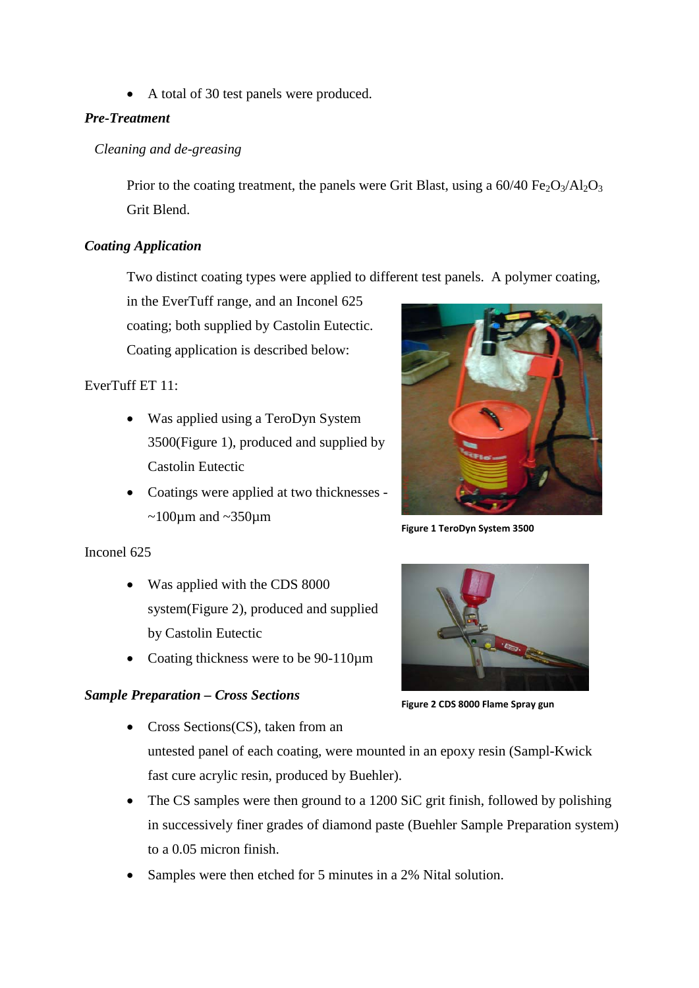• A total of 30 test panels were produced.

# *Pre-Treatment*

# *Cleaning and de-greasing*

Prior to the coating treatment, the panels were Grit Blast, using a  $60/40 \text{ Fe}_2\text{O}_3/\text{Al}_2\text{O}_3$ Grit Blend.

#### *Coating Application*

Two distinct coating types were applied to different test panels. A polymer coating,

in the EverTuff range, and an Inconel 625 coating; both supplied by Castolin Eutectic. Coating application is described below:

# EverTuff ET 11:

- Was applied using a TeroDyn System 3500(Figure 1), produced and supplied by Castolin Eutectic
- Coatings were applied at two thicknesses  $\sim$ 100 $\mu$ m and  $\sim$ 350 $\mu$ m



**Figure 1 TeroDyn System 3500**

#### Inconel 625

- Was applied with the CDS 8000 system(Figure 2), produced and supplied by Castolin Eutectic
- Coating thickness were to be 90-110 $\mu$ m

# *Sample Preparation – Cross Sections*



**Figure 2 CDS 8000 Flame Spray gun**

- Cross Sections(CS), taken from an untested panel of each coating, were mounted in an epoxy resin (Sampl-Kwick fast cure acrylic resin, produced by Buehler).
- The CS samples were then ground to a 1200 SiC grit finish, followed by polishing in successively finer grades of diamond paste (Buehler Sample Preparation system) to a 0.05 micron finish.
- Samples were then etched for 5 minutes in a 2% Nital solution.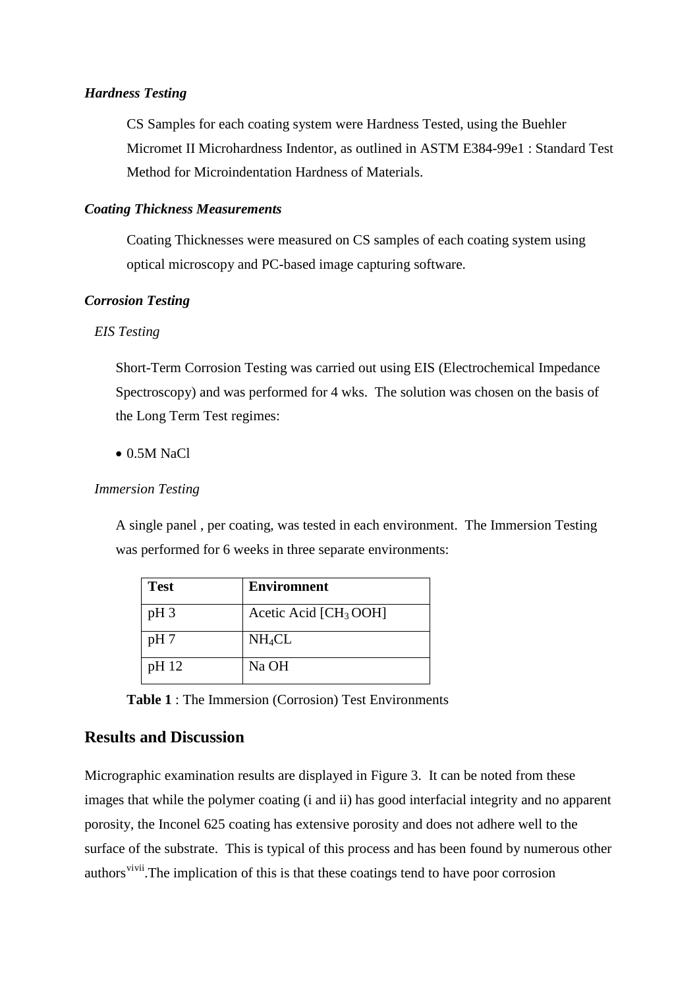#### *Hardness Testing*

CS Samples for each coating system were Hardness Tested, using the Buehler Micromet II Microhardness Indentor, as outlined in ASTM E384-99e1 : Standard Test Method for Microindentation Hardness of Materials.

#### *Coating Thickness Measurements*

Coating Thicknesses were measured on CS samples of each coating system using optical microscopy and PC-based image capturing software.

#### *Corrosion Testing*

#### *EIS Testing*

Short-Term Corrosion Testing was carried out using EIS (Electrochemical Impedance Spectroscopy) and was performed for 4 wks. The solution was chosen on the basis of the Long Term Test regimes:

• 0.5M NaCl

#### *Immersion Testing*

A single panel , per coating, was tested in each environment. The Immersion Testing was performed for 6 weeks in three separate environments:

| <b>Test</b> | <b>Enviromnent</b>                |
|-------------|-----------------------------------|
| $pH_3$      | Acetic Acid [CH <sub>3</sub> OOH] |
| pH 7        | NH <sub>4</sub> CL                |
| pH 12       | Na OH                             |

**Table 1** : The Immersion (Corrosion) Test Environments

#### **Results and Discussion**

Micrographic examination results are displayed in Figure 3. It can be noted from these images that while the polymer coating (i and ii) has good interfacial integrity and no apparent porosity, the Inconel 625 coating has extensive porosity and does not adhere well to the surface of the substrate. This is typical of this process and has been found by numerous other authors<sup>[vi](#page-3-5)[vii](#page-3-6)</sup>.The implication of this is that these coatings tend to have poor corrosion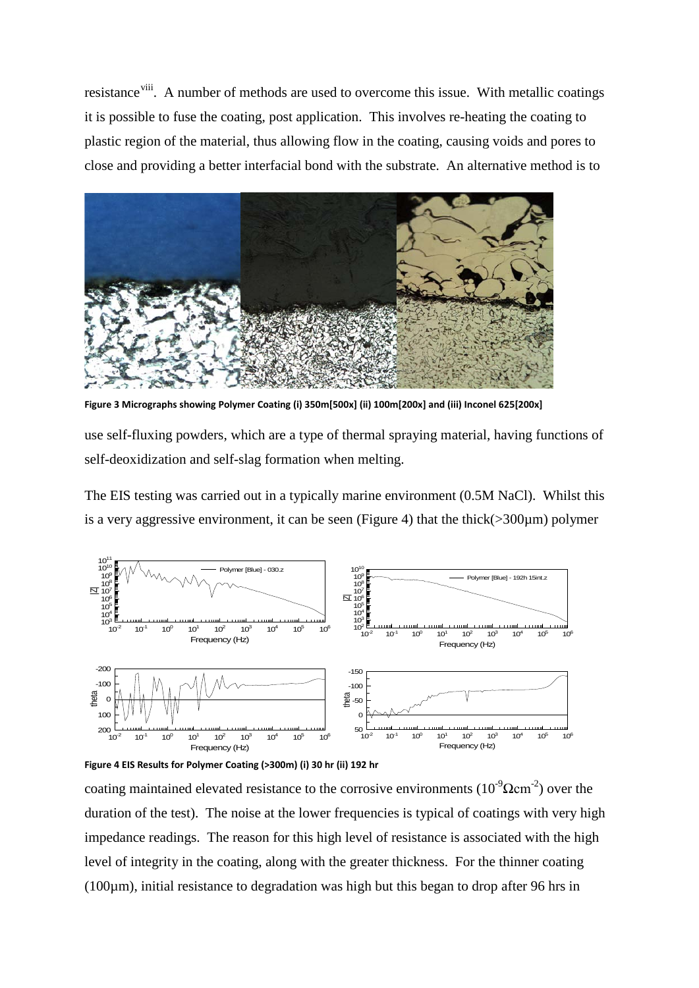resistance<sup>[viii](#page-3-7)</sup>. A number of methods are used to overcome this issue. With metallic coatings it is possible to fuse the coating, post application. This involves re-heating the coating to plastic region of the material, thus allowing flow in the coating, causing voids and pores to close and providing a better interfacial bond with the substrate. An alternative method is to



**Figure 3 Micrographs showing Polymer Coating (i) 350m[500x] (ii) 100m[200x] and (iii) Inconel 625[200x]**

use self-fluxing powders, which are a type of thermal spraying material, having functions of self-deoxidization and self-slag formation when melting.

The EIS testing was carried out in a typically marine environment (0.5M NaCl). Whilst this is a very aggressive environment, it can be seen (Figure 4) that the thick( $>300\mu$ m) polymer





coating maintained elevated resistance to the corrosive environments  $(10^{-9} \Omega \text{cm}^{-2})$  over the duration of the test). The noise at the lower frequencies is typical of coatings with very high impedance readings. The reason for this high level of resistance is associated with the high level of integrity in the coating, along with the greater thickness. For the thinner coating ( $100\mu$ m), initial resistance to degradation was high but this began to drop after 96 hrs in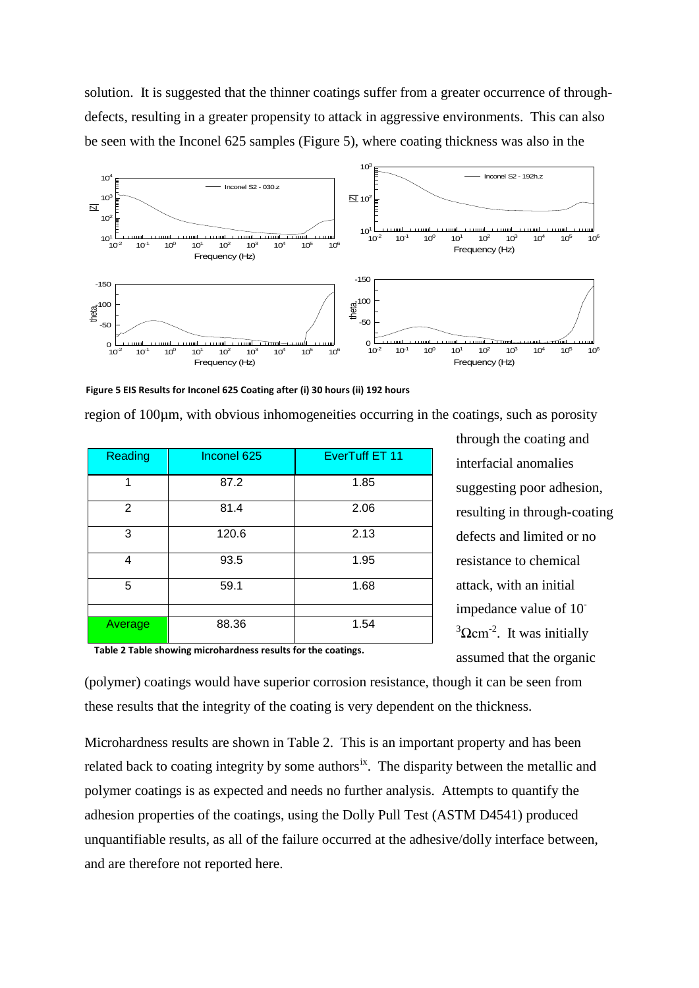solution. It is suggested that the thinner coatings suffer from a greater occurrence of throughdefects, resulting in a greater propensity to attack in aggressive environments. This can also be seen with the Inconel 625 samples (Figure 5), where coating thickness was also in the



**Figure 5 EIS Results for Inconel 625 Coating after (i) 30 hours (ii) 192 hours**

region of 100µm, with obvious inhomogeneities occurring in the coatings, such as porosity

| Reading | Inconel 625 | EverTuff ET 11 |
|---------|-------------|----------------|
| 1       | 87.2        | 1.85           |
| 2       | 81.4        | 2.06           |
| 3       | 120.6       | 2.13           |
| 4       | 93.5        | 1.95           |
| 5       | 59.1        | 1.68           |
|         |             |                |
| Average | 88.36       | 1.54           |

through the coating and interfacial anomalies suggesting poor adhesion, resulting in through-coating defects and limited or no resistance to chemical attack, with an initial impedance value of 10-  $3\Omega$ cm<sup>-2</sup>. It was initially assumed that the organic

**Table 2 Table showing microhardness results for the coatings.**

(polymer) coatings would have superior corrosion resistance, though it can be seen from these results that the integrity of the coating is very dependent on the thickness.

Microhardness results are shown in Table 2. This is an important property and has been related back to coating integrity by some authors<sup>[ix](#page-3-8)</sup>. The disparity between the metallic and polymer coatings is as expected and needs no further analysis. Attempts to quantify the adhesion properties of the coatings, using the Dolly Pull Test (ASTM D4541) produced unquantifiable results, as all of the failure occurred at the adhesive/dolly interface between, and are therefore not reported here.